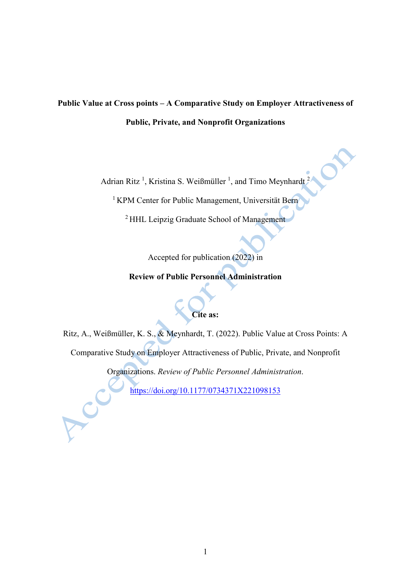# **Public Value at Cross points – A Comparative Study on Employer Attractiveness of Public, Private, and Nonprofit Organizations**

Adrian Ritz<sup>1</sup>, Kristina S. Weißmüller<sup>1</sup>, and Timo Meynhardt<sup>2</sup>

<sup>1</sup> KPM Center for Public Management, Universität Bern

2 HHL Leipzig Graduate School of Management

Accepted for publication (2022) in

**Review of Public Personnel Administration**

# **Cite as:**

Ritz, A., Weißmüller, K. S., & Meynhardt, T. (2022). Public Value at Cross Points: A Comparative Study on Employer Attractiveness of Public, Private, and Nonprofit

Organizations. *Review of Public Personnel Administration*.

<https://doi.org/10.1177/0734371X221098153>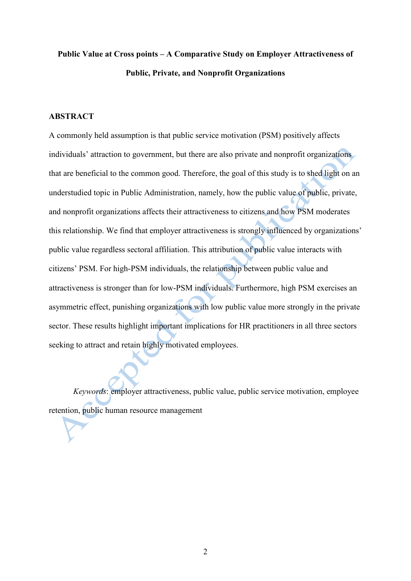# **Public Value at Cross points – A Comparative Study on Employer Attractiveness of Public, Private, and Nonprofit Organizations**

#### **ABSTRACT**

A commonly held assumption is that public service motivation (PSM) positively affects individuals' attraction to government, but there are also private and nonprofit organizations that are beneficial to the common good. Therefore, the goal of this study is to shed light on an understudied topic in Public Administration, namely, how the public value of public, private, and nonprofit organizations affects their attractiveness to citizens and how PSM moderates this relationship. We find that employer attractiveness is strongly influenced by organizations' public value regardless sectoral affiliation. This attribution of public value interacts with citizens' PSM. For high-PSM individuals, the relationship between public value and attractiveness is stronger than for low-PSM individuals. Furthermore, high PSM exercises an asymmetric effect, punishing organizations with low public value more strongly in the private sector. These results highlight important implications for HR practitioners in all three sectors seeking to attract and retain highly motivated employees.

*Keywords*: employer attractiveness, public value, public service motivation, employee retention, public human resource management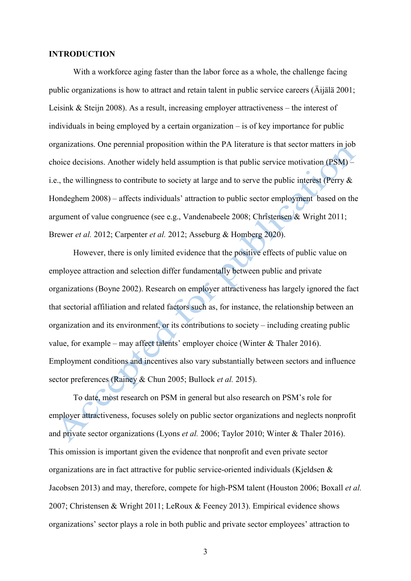#### **INTRODUCTION**

With a workforce aging faster than the labor force as a whole, the challenge facing public organizations is how to attract and retain talent in public service careers (Äijälä 2001; Leisink & Steijn 2008). As a result, increasing employer attractiveness – the interest of individuals in being employed by a certain organization – is of key importance for public organizations. One perennial proposition within the PA literature is that sector matters in job choice decisions. Another widely held assumption is that public service motivation (PSM) – i.e., the willingness to contribute to society at large and to serve the public interest (Perry & Hondeghem 2008) – affects individuals' attraction to public sector employment based on the argument of value congruence (see e.g., Vandenabeele 2008; Christensen & Wright 2011; Brewer *et al.* 2012; Carpenter *et al.* 2012; Asseburg & Homberg 2020).

However, there is only limited evidence that the positive effects of public value on employee attraction and selection differ fundamentally between public and private organizations (Boyne 2002). Research on employer attractiveness has largely ignored the fact that sectorial affiliation and related factors such as, for instance, the relationship between an organization and its environment, or its contributions to society – including creating public value, for example – may affect talents' employer choice (Winter & Thaler 2016). Employment conditions and incentives also vary substantially between sectors and influence sector preferences (Rainey & Chun 2005; Bullock *et al.* 2015).

To date, most research on PSM in general but also research on PSM's role for employer attractiveness, focuses solely on public sector organizations and neglects nonprofit and private sector organizations (Lyons *et al.* 2006; Taylor 2010; Winter & Thaler 2016). This omission is important given the evidence that nonprofit and even private sector organizations are in fact attractive for public service-oriented individuals (Kjeldsen & Jacobsen 2013) and may, therefore, compete for high-PSM talent (Houston 2006; Boxall *et al.* 2007; Christensen & Wright 2011; LeRoux & Feeney 2013). Empirical evidence shows organizations' sector plays a role in both public and private sector employees' attraction to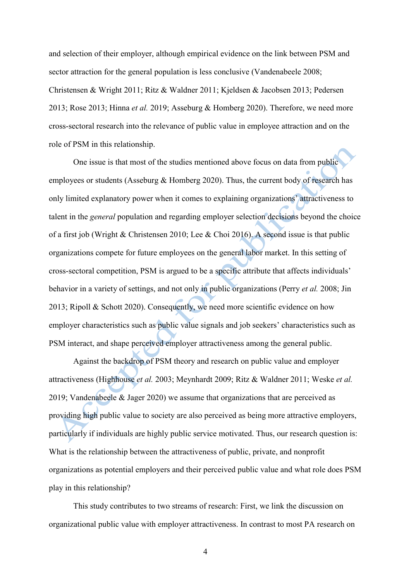and selection of their employer, although empirical evidence on the link between PSM and sector attraction for the general population is less conclusive (Vandenabeele 2008; Christensen & Wright 2011; Ritz & Waldner 2011; Kjeldsen & Jacobsen 2013; Pedersen 2013; Rose 2013; Hinna *et al.* 2019; Asseburg & Homberg 2020). Therefore, we need more cross-sectoral research into the relevance of public value in employee attraction and on the role of PSM in this relationship.

One issue is that most of the studies mentioned above focus on data from public employees or students (Asseburg & Homberg 2020). Thus, the current body of research has only limited explanatory power when it comes to explaining organizations' attractiveness to talent in the *general* population and regarding employer selection decisions beyond the choice of a first job (Wright & Christensen 2010; Lee & Choi 2016). A second issue is that public organizations compete for future employees on the general labor market. In this setting of cross-sectoral competition, PSM is argued to be a specific attribute that affects individuals' behavior in a variety of settings, and not only in public organizations (Perry *et al.* 2008; Jin 2013; Ripoll & Schott 2020). Consequently, we need more scientific evidence on how employer characteristics such as public value signals and job seekers' characteristics such as PSM interact, and shape perceived employer attractiveness among the general public.

Against the backdrop of PSM theory and research on public value and employer attractiveness (Highhouse *et al.* 2003; Meynhardt 2009; Ritz & Waldner 2011; Weske *et al.* 2019; Vandenabeele & Jager 2020) we assume that organizations that are perceived as providing high public value to society are also perceived as being more attractive employers, particularly if individuals are highly public service motivated. Thus, our research question is: What is the relationship between the attractiveness of public, private, and nonprofit organizations as potential employers and their perceived public value and what role does PSM play in this relationship?

This study contributes to two streams of research: First, we link the discussion on organizational public value with employer attractiveness. In contrast to most PA research on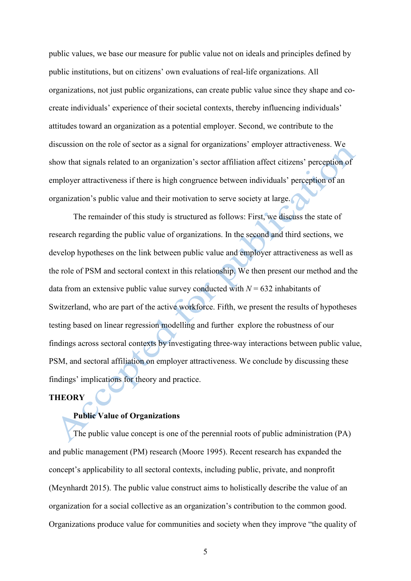public values, we base our measure for public value not on ideals and principles defined by public institutions, but on citizens' own evaluations of real-life organizations. All organizations, not just public organizations, can create public value since they shape and cocreate individuals' experience of their societal contexts, thereby influencing individuals' attitudes toward an organization as a potential employer. Second, we contribute to the discussion on the role of sector as a signal for organizations' employer attractiveness. We show that signals related to an organization's sector affiliation affect citizens' perception of employer attractiveness if there is high congruence between individuals' perception of an organization's public value and their motivation to serve society at large.

The remainder of this study is structured as follows: First, we discuss the state of research regarding the public value of organizations. In the second and third sections, we develop hypotheses on the link between public value and employer attractiveness as well as the role of PSM and sectoral context in this relationship. We then present our method and the data from an extensive public value survey conducted with  $N = 632$  inhabitants of Switzerland, who are part of the active workforce. Fifth, we present the results of hypotheses testing based on linear regression modelling and further explore the robustness of our findings across sectoral contexts by investigating three-way interactions between public value, PSM, and sectoral affiliation on employer attractiveness. We conclude by discussing these findings' implications for theory and practice.

#### **THEORY**

## **Public Value of Organizations**

The public value concept is one of the perennial roots of public administration (PA) and public management (PM) research (Moore 1995). Recent research has expanded the concept's applicability to all sectoral contexts, including public, private, and nonprofit (Meynhardt 2015). The public value construct aims to holistically describe the value of an organization for a social collective as an organization's contribution to the common good. Organizations produce value for communities and society when they improve "the quality of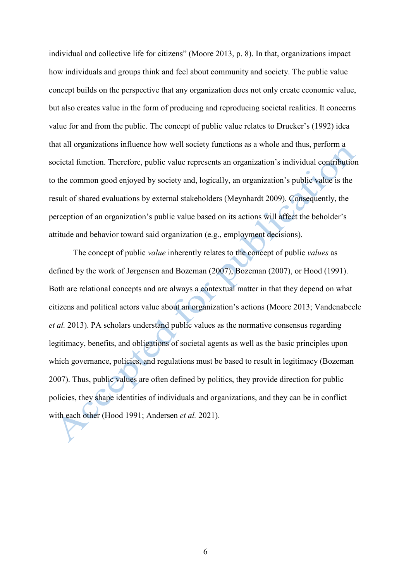individual and collective life for citizens" (Moore 2013, p. 8). In that, organizations impact how individuals and groups think and feel about community and society. The public value concept builds on the perspective that any organization does not only create economic value, but also creates value in the form of producing and reproducing societal realities. It concerns value for and from the public. The concept of public value relates to Drucker's (1992) idea that all organizations influence how well society functions as a whole and thus, perform a societal function. Therefore, public value represents an organization's individual contribution to the common good enjoyed by society and, logically, an organization's public value is the result of shared evaluations by external stakeholders (Meynhardt 2009). Consequently, the perception of an organization's public value based on its actions will affect the beholder's attitude and behavior toward said organization (e.g., employment decisions).

The concept of public *value* inherently relates to the concept of public *values* as defined by the work of Jørgensen and Bozeman (2007), Bozeman (2007), or Hood (1991). Both are relational concepts and are always a contextual matter in that they depend on what citizens and political actors value about an organization's actions (Moore 2013; Vandenabeele *et al.* 2013). PA scholars understand public values as the normative consensus regarding legitimacy, benefits, and obligations of societal agents as well as the basic principles upon which governance, policies, and regulations must be based to result in legitimacy (Bozeman 2007). Thus, public values are often defined by politics, they provide direction for public policies, they shape identities of individuals and organizations, and they can be in conflict with each other (Hood 1991; Andersen *et al.* 2021).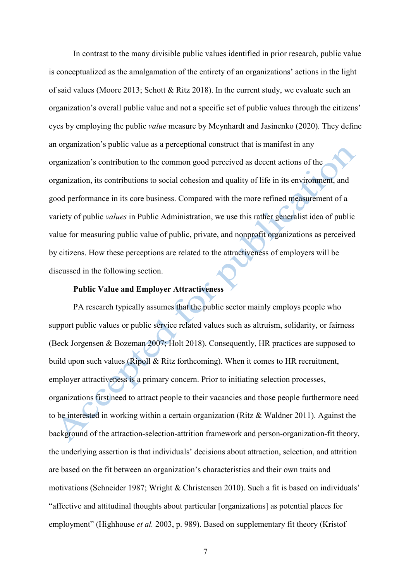In contrast to the many divisible public values identified in prior research, public value is conceptualized as the amalgamation of the entirety of an organizations' actions in the light of said values (Moore 2013; Schott & Ritz 2018). In the current study, we evaluate such an organization's overall public value and not a specific set of public values through the citizens' eyes by employing the public *value* measure by Meynhardt and Jasinenko (2020). They define an organization's public value as a perceptional construct that is manifest in any organization's contribution to the common good perceived as decent actions of the organization, its contributions to social cohesion and quality of life in its environment, and good performance in its core business. Compared with the more refined measurement of a variety of public *values* in Public Administration, we use this rather generalist idea of public value for measuring public value of public, private, and nonprofit organizations as perceived by citizens. How these perceptions are related to the attractiveness of employers will be discussed in the following section.

#### **Public Value and Employer Attractiveness**

PA research typically assumes that the public sector mainly employs people who support public values or public service related values such as altruism, solidarity, or fairness (Beck Jorgensen & Bozeman 2007; Holt 2018). Consequently, HR practices are supposed to build upon such values (Ripoll & Ritz forthcoming). When it comes to HR recruitment, employer attractiveness is a primary concern. Prior to initiating selection processes, organizations first need to attract people to their vacancies and those people furthermore need to be interested in working within a certain organization (Ritz & Waldner 2011). Against the background of the attraction-selection-attrition framework and person-organization-fit theory, the underlying assertion is that individuals' decisions about attraction, selection, and attrition are based on the fit between an organization's characteristics and their own traits and motivations (Schneider 1987; Wright & Christensen 2010). Such a fit is based on individuals' "affective and attitudinal thoughts about particular [organizations] as potential places for employment" (Highhouse *et al.* 2003, p. 989). Based on supplementary fit theory (Kristof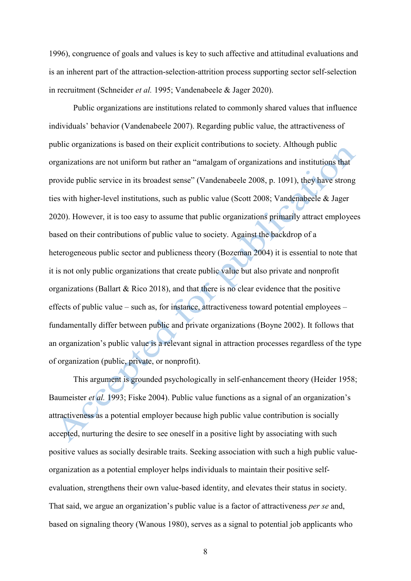1996), congruence of goals and values is key to such affective and attitudinal evaluations and is an inherent part of the attraction-selection-attrition process supporting sector self-selection in recruitment (Schneider *et al.* 1995; Vandenabeele & Jager 2020).

Public organizations are institutions related to commonly shared values that influence individuals' behavior (Vandenabeele 2007). Regarding public value, the attractiveness of public organizations is based on their explicit contributions to society. Although public organizations are not uniform but rather an "amalgam of organizations and institutions that provide public service in its broadest sense" (Vandenabeele 2008, p. 1091), they have strong ties with higher-level institutions, such as public value (Scott 2008; Vandenabeele & Jager 2020). However, it is too easy to assume that public organizations primarily attract employees based on their contributions of public value to society. Against the backdrop of a heterogeneous public sector and publicness theory (Bozeman 2004) it is essential to note that it is not only public organizations that create public value but also private and nonprofit organizations (Ballart & Rico 2018), and that there is no clear evidence that the positive effects of public value – such as, for instance, attractiveness toward potential employees – fundamentally differ between public and private organizations (Boyne 2002). It follows that an organization's public value is a relevant signal in attraction processes regardless of the type of organization (public, private, or nonprofit).

This argument is grounded psychologically in self-enhancement theory (Heider 1958; Baumeister *et al.* 1993; Fiske 2004). Public value functions as a signal of an organization's attractiveness as a potential employer because high public value contribution is socially accepted, nurturing the desire to see oneself in a positive light by associating with such positive values as socially desirable traits. Seeking association with such a high public valueorganization as a potential employer helps individuals to maintain their positive selfevaluation, strengthens their own value-based identity, and elevates their status in society. That said, we argue an organization's public value is a factor of attractiveness *per se* and, based on signaling theory (Wanous 1980), serves as a signal to potential job applicants who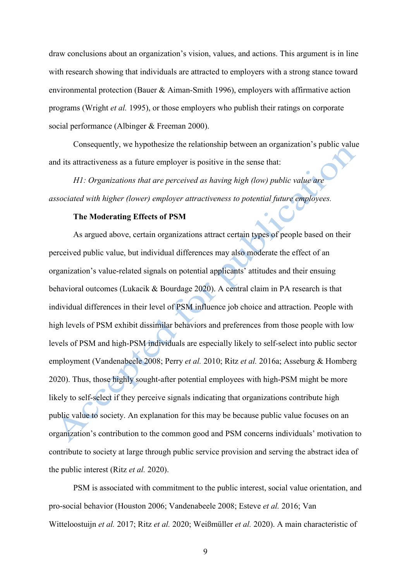draw conclusions about an organization's vision, values, and actions. This argument is in line with research showing that individuals are attracted to employers with a strong stance toward environmental protection (Bauer & Aiman-Smith 1996), employers with affirmative action programs (Wright *et al.* 1995), or those employers who publish their ratings on corporate social performance (Albinger & Freeman 2000).

Consequently, we hypothesize the relationship between an organization's public value and its attractiveness as a future employer is positive in the sense that:

*H1: Organizations that are perceived as having high (low) public value are associated with higher (lower) employer attractiveness to potential future employees.*

### **The Moderating Effects of PSM**

As argued above, certain organizations attract certain types of people based on their perceived public value, but individual differences may also moderate the effect of an organization's value-related signals on potential applicants' attitudes and their ensuing behavioral outcomes (Lukacik & Bourdage 2020). A central claim in PA research is that individual differences in their level of PSM influence job choice and attraction. People with high levels of PSM exhibit dissimilar behaviors and preferences from those people with low levels of PSM and high-PSM individuals are especially likely to self-select into public sector employment (Vandenabeele 2008; Perry *et al.* 2010; Ritz *et al.* 2016a; Asseburg & Homberg 2020). Thus, those highly sought-after potential employees with high-PSM might be more likely to self-select if they perceive signals indicating that organizations contribute high public value to society. An explanation for this may be because public value focuses on an organization's contribution to the common good and PSM concerns individuals' motivation to contribute to society at large through public service provision and serving the abstract idea of the public interest (Ritz *et al.* 2020).

PSM is associated with commitment to the public interest, social value orientation, and pro-social behavior (Houston 2006; Vandenabeele 2008; Esteve *et al.* 2016; Van Witteloostuijn *et al.* 2017; Ritz *et al.* 2020; Weißmüller *et al.* 2020). A main characteristic of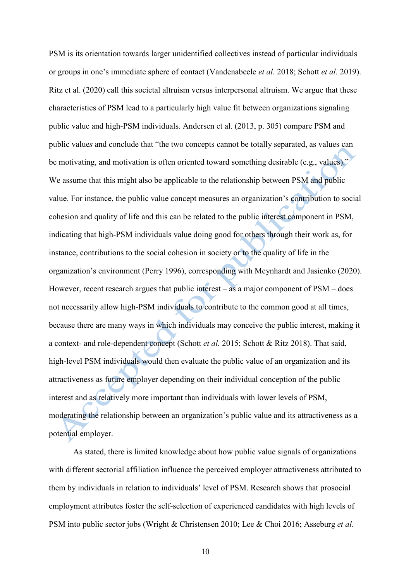PSM is its orientation towards larger unidentified collectives instead of particular individuals or groups in one's immediate sphere of contact (Vandenabeele *et al.* 2018; Schott *et al.* 2019). Ritz et al. (2020) call this societal altruism versus interpersonal altruism. We argue that these characteristics of PSM lead to a particularly high value fit between organizations signaling public value and high-PSM individuals. Andersen et al. (2013, p. 305) compare PSM and public value*s* and conclude that "the two concepts cannot be totally separated, as values can be motivating, and motivation is often oriented toward something desirable (e.g., values)." We assume that this might also be applicable to the relationship between PSM and public value. For instance, the public value concept measures an organization's contribution to social cohesion and quality of life and this can be related to the public interest component in PSM, indicating that high-PSM individuals value doing good for others through their work as, for instance, contributions to the social cohesion in society or to the quality of life in the organization's environment (Perry 1996), corresponding with Meynhardt and Jasienko (2020). However, recent research argues that public interest – as a major component of PSM – does not necessarily allow high-PSM individuals to contribute to the common good at all times, because there are many ways in which individuals may conceive the public interest, making it a context- and role-dependent concept (Schott *et al.* 2015; Schott & Ritz 2018). That said, high-level PSM individuals would then evaluate the public value of an organization and its attractiveness as future employer depending on their individual conception of the public interest and as relatively more important than individuals with lower levels of PSM, moderating the relationship between an organization's public value and its attractiveness as a potential employer.

As stated, there is limited knowledge about how public value signals of organizations with different sectorial affiliation influence the perceived employer attractiveness attributed to them by individuals in relation to individuals' level of PSM. Research shows that prosocial employment attributes foster the self-selection of experienced candidates with high levels of PSM into public sector jobs (Wright & Christensen 2010; Lee & Choi 2016; Asseburg *et al.*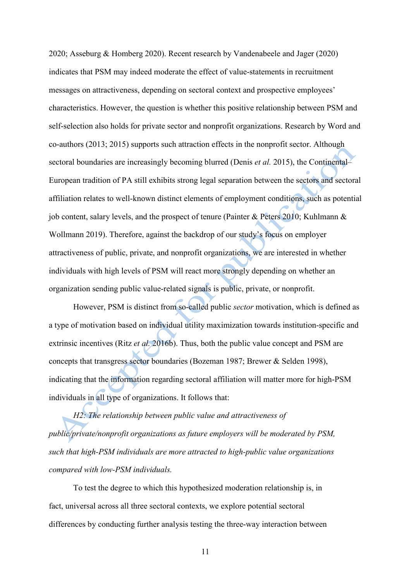2020; Asseburg & Homberg 2020). Recent research by Vandenabeele and Jager (2020) indicates that PSM may indeed moderate the effect of value-statements in recruitment messages on attractiveness, depending on sectoral context and prospective employees' characteristics. However, the question is whether this positive relationship between PSM and self-selection also holds for private sector and nonprofit organizations. Research by Word and co-authors (2013; 2015) supports such attraction effects in the nonprofit sector. Although sectoral boundaries are increasingly becoming blurred (Denis *et al.* 2015), the Continental– European tradition of PA still exhibits strong legal separation between the sectors and sectoral affiliation relates to well-known distinct elements of employment conditions, such as potential job content, salary levels, and the prospect of tenure (Painter & Peters 2010; Kuhlmann & Wollmann 2019). Therefore, against the backdrop of our study's focus on employer attractiveness of public, private, and nonprofit organizations, we are interested in whether individuals with high levels of PSM will react more strongly depending on whether an organization sending public value-related signals is public, private, or nonprofit.

However, PSM is distinct from so-called public *sector* motivation, which is defined as a type of motivation based on individual utility maximization towards institution-specific and extrinsic incentives (Ritz *et al.* 2016b). Thus, both the public value concept and PSM are concepts that transgress sector boundaries (Bozeman 1987; Brewer & Selden 1998), indicating that the information regarding sectoral affiliation will matter more for high-PSM individuals in all type of organizations. It follows that:

*H2: The relationship between public value and attractiveness of public/private/nonprofit organizations as future employers will be moderated by PSM, such that high-PSM individuals are more attracted to high-public value organizations compared with low-PSM individuals.* 

To test the degree to which this hypothesized moderation relationship is, in fact, universal across all three sectoral contexts, we explore potential sectoral differences by conducting further analysis testing the three-way interaction between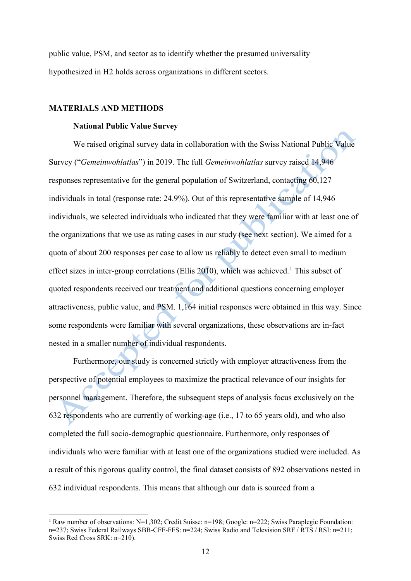public value, PSM, and sector as to identify whether the presumed universality hypothesized in H2 holds across organizations in different sectors.

#### **MATERIALS AND METHODS**

#### **National Public Value Survey**

We raised original survey data in collaboration with the Swiss National Public Value Survey ("*Gemeinwohlatlas*") in 2019. The full *Gemeinwohlatlas* survey raised 14,946 responses representative for the general population of Switzerland, contacting 60,127 individuals in total (response rate: 24.9%). Out of this representative sample of 14,946 individuals, we selected individuals who indicated that they were familiar with at least one of the organizations that we use as rating cases in our study (see next section). We aimed for a quota of about 200 responses per case to allow us reliably to detect even small to medium effect sizes in inter-group correlations (Ellis 20[1](#page-11-0)0), which was achieved.<sup>1</sup> This subset of quoted respondents received our treatment and additional questions concerning employer attractiveness, public value, and PSM. 1,164 initial responses were obtained in this way. Since some respondents were familiar with several organizations, these observations are in-fact nested in a smaller number of individual respondents.

Furthermore, our study is concerned strictly with employer attractiveness from the perspective of potential employees to maximize the practical relevance of our insights for personnel management. Therefore, the subsequent steps of analysis focus exclusively on the 632 respondents who are currently of working-age (i.e., 17 to 65 years old), and who also completed the full socio-demographic questionnaire. Furthermore, only responses of individuals who were familiar with at least one of the organizations studied were included. As a result of this rigorous quality control, the final dataset consists of 892 observations nested in 632 individual respondents. This means that although our data is sourced from a

<span id="page-11-0"></span><sup>&</sup>lt;sup>1</sup> Raw number of observations: N=1,302; Credit Suisse: n=198; Google: n=222; Swiss Paraplegic Foundation: n=237; Swiss Federal Railways SBB-CFF-FFS: n=224; Swiss Radio and Television SRF / RTS / RSI: n=211; Swiss Red Cross SRK: n=210).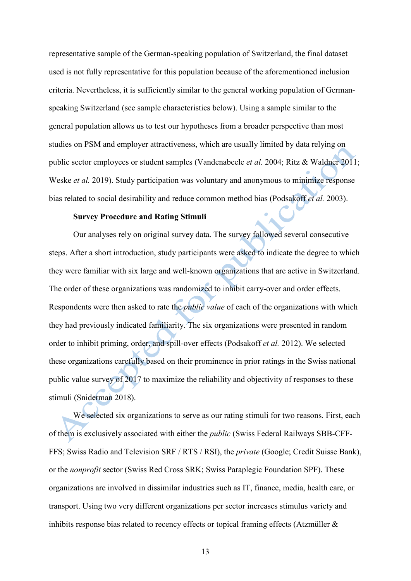representative sample of the German-speaking population of Switzerland, the final dataset used is not fully representative for this population because of the aforementioned inclusion criteria. Nevertheless, it is sufficiently similar to the general working population of Germanspeaking Switzerland (see sample characteristics below). Using a sample similar to the general population allows us to test our hypotheses from a broader perspective than most studies on PSM and employer attractiveness, which are usually limited by data relying on public sector employees or student samples (Vandenabeele *et al.* 2004; Ritz & Waldner 2011; Weske *et al.* 2019). Study participation was voluntary and anonymous to minimize response bias related to social desirability and reduce common method bias (Podsakoff *et al.* 2003).

#### **Survey Procedure and Rating Stimuli**

Our analyses rely on original survey data. The survey followed several consecutive steps. After a short introduction, study participants were asked to indicate the degree to which they were familiar with six large and well-known organizations that are active in Switzerland. The order of these organizations was randomized to inhibit carry-over and order effects. Respondents were then asked to rate the *public value* of each of the organizations with which they had previously indicated familiarity. The six organizations were presented in random order to inhibit priming, order, and spill-over effects (Podsakoff *et al.* 2012). We selected these organizations carefully based on their prominence in prior ratings in the Swiss national public value survey of 2017 to maximize the reliability and objectivity of responses to these stimuli (Sniderman 2018).

We selected six organizations to serve as our rating stimuli for two reasons. First, each of them is exclusively associated with either the *public* (Swiss Federal Railways SBB-CFF-FFS; Swiss Radio and Television SRF / RTS / RSI), the *private* (Google; Credit Suisse Bank), or the *nonprofit* sector (Swiss Red Cross SRK; Swiss Paraplegic Foundation SPF). These organizations are involved in dissimilar industries such as IT, finance, media, health care, or transport. Using two very different organizations per sector increases stimulus variety and inhibits response bias related to recency effects or topical framing effects (Atzmüller &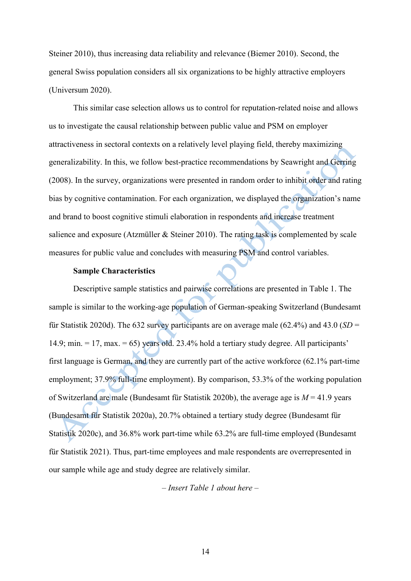Steiner 2010), thus increasing data reliability and relevance (Biemer 2010). Second, the general Swiss population considers all six organizations to be highly attractive employers (Universum 2020).

This similar case selection allows us to control for reputation-related noise and allows us to investigate the causal relationship between public value and PSM on employer attractiveness in sectoral contexts on a relatively level playing field, thereby maximizing generalizability. In this, we follow best-practice recommendations by Seawright and Gerring (2008). In the survey, organizations were presented in random order to inhibit order and rating bias by cognitive contamination. For each organization, we displayed the organization's name and brand to boost cognitive stimuli elaboration in respondents and increase treatment salience and exposure (Atzmüller & Steiner 2010). The rating task is complemented by scale measures for public value and concludes with measuring PSM and control variables.

#### **Sample Characteristics**

Descriptive sample statistics and pairwise correlations are presented in Table 1. The sample is similar to the working-age population of German-speaking Switzerland (Bundesamt für Statistik 2020d). The 632 survey participants are on average male (62.4%) and 43.0 (*SD* = 14.9; min.  $= 17$ , max.  $= 65$ ) years old. 23.4% hold a tertiary study degree. All participants' first language is German, and they are currently part of the active workforce (62.1% part-time employment; 37.9% full-time employment). By comparison, 53.3% of the working population of Switzerland are male (Bundesamt für Statistik 2020b), the average age is *M* = 41.9 years (Bundesamt für Statistik 2020a), 20.7% obtained a tertiary study degree (Bundesamt für Statistik 2020c), and 36.8% work part-time while 63.2% are full-time employed (Bundesamt für Statistik 2021). Thus, part-time employees and male respondents are overrepresented in our sample while age and study degree are relatively similar.

*– Insert Table 1 about here –*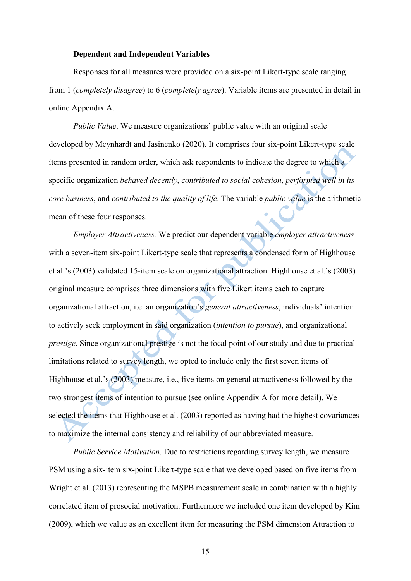#### **Dependent and Independent Variables**

Responses for all measures were provided on a six-point Likert-type scale ranging from 1 (*completely disagree*) to 6 (*completely agree*). Variable items are presented in detail in online Appendix A.

*Public Value*. We measure organizations' public value with an original scale developed by Meynhardt and Jasinenko (2020). It comprises four six-point Likert-type scale items presented in random order, which ask respondents to indicate the degree to which a specific organization *behaved decently*, *contributed to social cohesion*, *performed well in its core business*, and *contributed to the quality of life*. The variable *public value* is the arithmetic mean of these four responses.

*Employer Attractiveness.* We predict our dependent variable *employer attractiveness* with a seven-item six-point Likert-type scale that represents a condensed form of Highhouse et al.'s (2003) validated 15-item scale on organizational attraction. Highhouse et al.'s (2003) original measure comprises three dimensions with five Likert items each to capture organizational attraction, i.e. an organization's *general attractiveness*, individuals' intention to actively seek employment in said organization (*intention to pursue*), and organizational *prestige*. Since organizational prestige is not the focal point of our study and due to practical limitations related to survey length, we opted to include only the first seven items of Highhouse et al.'s (2003) measure, i.e., five items on general attractiveness followed by the two strongest items of intention to pursue (see online Appendix A for more detail). We selected the items that Highhouse et al. (2003) reported as having had the highest covariances to maximize the internal consistency and reliability of our abbreviated measure.

*Public Service Motivation*. Due to restrictions regarding survey length, we measure PSM using a six-item six-point Likert-type scale that we developed based on five items from Wright et al. (2013) representing the MSPB measurement scale in combination with a highly correlated item of prosocial motivation. Furthermore we included one item developed by Kim (2009), which we value as an excellent item for measuring the PSM dimension Attraction to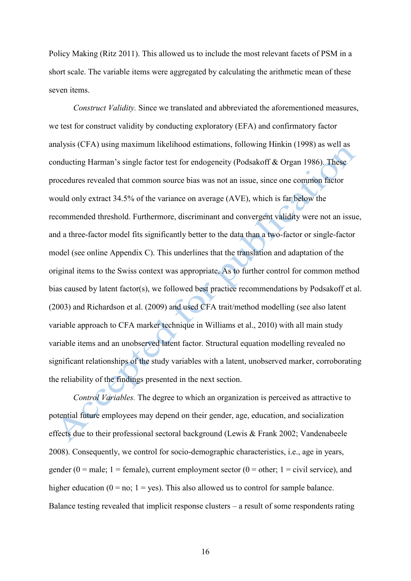Policy Making (Ritz 2011). This allowed us to include the most relevant facets of PSM in a short scale. The variable items were aggregated by calculating the arithmetic mean of these seven items.

*Construct Validity.* Since we translated and abbreviated the aforementioned measures, we test for construct validity by conducting exploratory (EFA) and confirmatory factor analysis (CFA) using maximum likelihood estimations, following Hinkin (1998) as well as conducting Harman's single factor test for endogeneity (Podsakoff & Organ 1986). These procedures revealed that common source bias was not an issue, since one common factor would only extract 34.5% of the variance on average (AVE), which is far below the recommended threshold. Furthermore, discriminant and convergent validity were not an issue, and a three-factor model fits significantly better to the data than a two-factor or single-factor model (see online Appendix C). This underlines that the translation and adaptation of the original items to the Swiss context was appropriate. As to further control for common method bias caused by latent factor(s), we followed best practice recommendations by Podsakoff et al. (2003) and Richardson et al. (2009) and used CFA trait/method modelling (see also latent variable approach to CFA marker technique in Williams et al., 2010) with all main study variable items and an unobserved latent factor. Structural equation modelling revealed no significant relationships of the study variables with a latent, unobserved marker, corroborating the reliability of the findings presented in the next section.

*Control Variables.* The degree to which an organization is perceived as attractive to potential future employees may depend on their gender, age, education, and socialization effects due to their professional sectoral background (Lewis & Frank 2002; Vandenabeele 2008). Consequently, we control for socio-demographic characteristics, i.e., age in years, gender (0 = male; 1 = female), current employment sector (0 = other; 1 = civil service), and higher education ( $0 = no$ ;  $1 = ves$ ). This also allowed us to control for sample balance. Balance testing revealed that implicit response clusters – a result of some respondents rating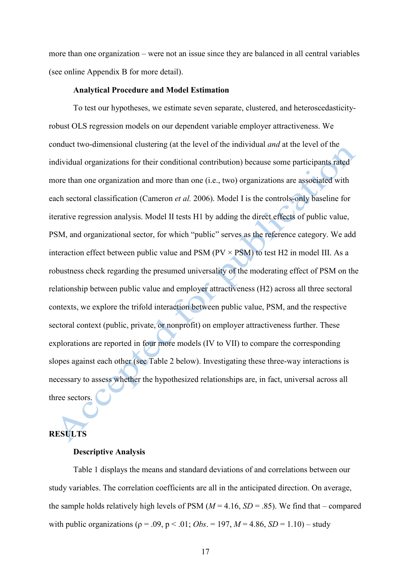more than one organization – were not an issue since they are balanced in all central variables (see online Appendix B for more detail).

#### **Analytical Procedure and Model Estimation**

To test our hypotheses, we estimate seven separate, clustered, and heteroscedasticityrobust OLS regression models on our dependent variable employer attractiveness. We conduct two-dimensional clustering (at the level of the individual *and* at the level of the individual organizations for their conditional contribution) because some participants rated more than one organization and more than one (i.e., two) organizations are associated with each sectoral classification (Cameron *et al.* 2006). Model I is the controls-only baseline for iterative regression analysis. Model II tests H1 by adding the direct effects of public value, PSM, and organizational sector, for which "public" serves as the reference category. We add interaction effect between public value and PSM ( $PV \times PSM$ ) to test H2 in model III. As a robustness check regarding the presumed universality of the moderating effect of PSM on the relationship between public value and employer attractiveness (H2) across all three sectoral contexts, we explore the trifold interaction between public value, PSM, and the respective sectoral context (public, private, or nonprofit) on employer attractiveness further. These explorations are reported in four more models (IV to VII) to compare the corresponding slopes against each other (see Table 2 below). Investigating these three-way interactions is necessary to assess whether the hypothesized relationships are, in fact, universal across all three sectors.

# **RESULTS**

#### **Descriptive Analysis**

Table 1 displays the means and standard deviations of and correlations between our study variables. The correlation coefficients are all in the anticipated direction. On average, the sample holds relatively high levels of PSM  $(M = 4.16, SD = .85)$ . We find that – compared with public organizations ( $\rho = .09$ ,  $p < .01$ ; *Obs.* = 197,  $M = 4.86$ , *SD* = 1.10) – study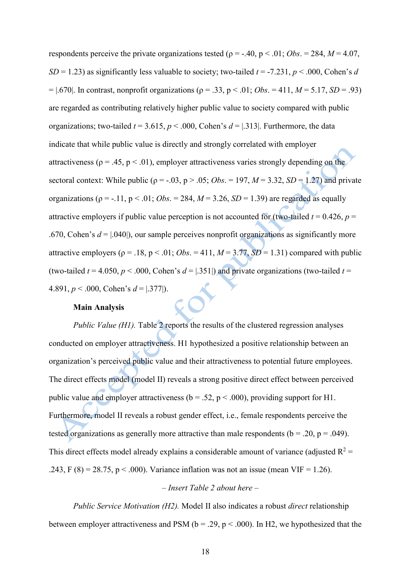respondents perceive the private organizations tested ( $\rho = -.40$ ,  $p < .01$ ; *Obs.* = 284,  $M = 4.07$ , *SD* = 1.23) as significantly less valuable to society; two-tailed  $t = -7.231$ ,  $p < .000$ , Cohen's *d*  $=$  |.670|. In contrast, nonprofit organizations ( $\rho = .33$ ,  $p < .01$ ; *Obs.* = 411, *M* = 5.17, *SD* = .93) are regarded as contributing relatively higher public value to society compared with public organizations; two-tailed  $t = 3.615$ ,  $p < .000$ , Cohen's  $d = 1.313$ . Furthermore, the data indicate that while public value is directly and strongly correlated with employer attractiveness ( $\rho = .45$ ,  $p < .01$ ), employer attractiveness varies strongly depending on the sectoral context: While public ( $\rho = -0.03$ ,  $p > 0.05$ ; *Obs.* = 197,  $M = 3.32$ ,  $SD = 1.27$ ) and private organizations ( $\rho = -.11$ ,  $p < .01$ ; *Obs.* = 284,  $M = 3.26$ , *SD* = 1.39) are regarded as equally attractive employers if public value perception is not accounted for (two-tailed  $t = 0.426$ ,  $p =$ .670, Cohen's  $d = |.040|$ , our sample perceives nonprofit organizations as significantly more attractive employers ( $\rho = .18$ ,  $p < .01$ ; *Obs.* = 411,  $M = 3.77$ ,  $SD = 1.31$ ) compared with public (two-tailed  $t = 4.050$ ,  $p < .000$ , Cohen's  $d = [.351]$ ) and private organizations (two-tailed  $t =$ 4.891,  $p < .000$ , Cohen's  $d = [.377]$ .

### **Main Analysis**

*Public Value (H1)*. Table 2 reports the results of the clustered regression analyses conducted on employer attractiveness. H1 hypothesized a positive relationship between an organization's perceived public value and their attractiveness to potential future employees. The direct effects model (model II) reveals a strong positive direct effect between perceived public value and employer attractiveness ( $b = .52$ ,  $p < .000$ ), providing support for H1. Furthermore, model II reveals a robust gender effect, i.e., female respondents perceive the tested organizations as generally more attractive than male respondents ( $b = .20$ ,  $p = .049$ ). This direct effects model already explains a considerable amount of variance (adjusted  $R^2$  = .243, F (8) = 28.75, p < .000). Variance inflation was not an issue (mean VIF = 1.26).

#### *– Insert Table 2 about here –*

*Public Service Motivation (H2).* Model II also indicates a robust *direct* relationship between employer attractiveness and PSM ( $b = .29$ ,  $p < .000$ ). In H2, we hypothesized that the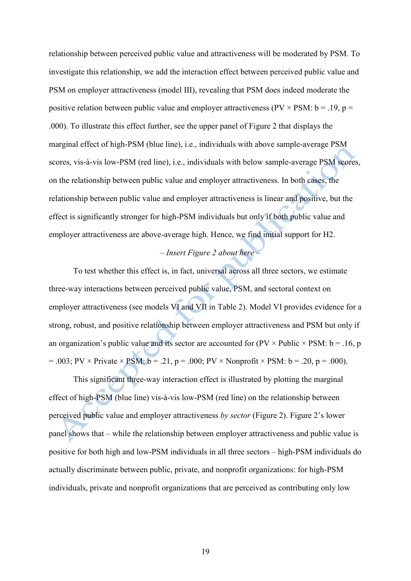relationship between perceived public value and attractiveness will be moderated by PSM. To investigate this relationship, we add the interaction effect between perceived public value and PSM on employer attractiveness (model III), revealing that PSM does indeed moderate the positive relation between public value and employer attractiveness (PV  $\times$  PSM: b = .19, p = .000). To illustrate this effect further, see the upper panel of Figure 2 that displays the marginal effect of high-PSM (blue line), i.e., individuals with above sample-average PSM scores, vis-à-vis low-PSM (red line), i.e., individuals with below sample-average PSM scores, on the relationship between public value and employer attractiveness. In both cases, the relationship between public value and employer attractiveness is linear and positive, but the effect is significantly stronger for high-PSM individuals but only if both public value and employer attractiveness are above-average high. Hence, we find initial support for H2.

## *– Insert Figure 2 about here –*

To test whether this effect is, in fact, universal across all three sectors, we estimate three-way interactions between perceived public value, PSM, and sectoral context on employer attractiveness (see models VI and VII in Table 2). Model VI provides evidence for a strong, robust, and positive relationship between employer attractiveness and PSM but only if an organization's public value and its sector are accounted for ( $PV \times \text{Public} \times \text{PSM: b} = .16$ , p  $= .003$ ; PV × Private × PSM:  $b = .21$ ,  $p = .000$ ; PV × Nonprofit × PSM:  $b = .20$ ,  $p = .000$ ).

This significant three-way interaction effect is illustrated by plotting the marginal effect of high-PSM (blue line) vis-à-vis low-PSM (red line) on the relationship between perceived public value and employer attractiveness *by sector* (Figure 2). Figure 2's lower panel shows that – while the relationship between employer attractiveness and public value is positive for both high and low-PSM individuals in all three sectors – high-PSM individuals do actually discriminate between public, private, and nonprofit organizations: for high-PSM individuals, private and nonprofit organizations that are perceived as contributing only low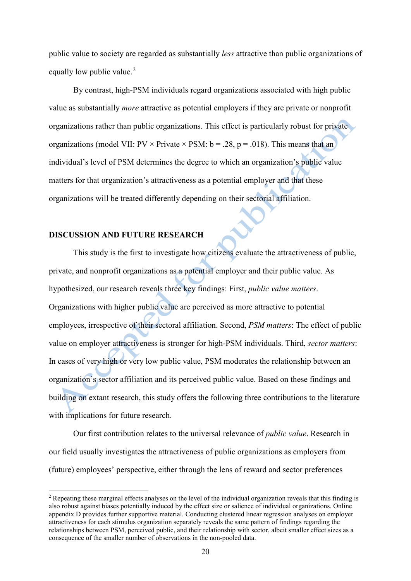public value to society are regarded as substantially *less* attractive than public organizations of equally low public value.<sup>[2](#page-19-0)</sup>

By contrast, high-PSM individuals regard organizations associated with high public value as substantially *more* attractive as potential employers if they are private or nonprofit organizations rather than public organizations. This effect is particularly robust for private organizations (model VII:  $PV \times Private \times PSM$ :  $b = .28$ ,  $p = .018$ ). This means that an individual's level of PSM determines the degree to which an organization's public value matters for that organization's attractiveness as a potential employer and that these organizations will be treated differently depending on their sectorial affiliation.

#### **DISCUSSION AND FUTURE RESEARCH**

This study is the first to investigate how citizens evaluate the attractiveness of public, private, and nonprofit organizations as a potential employer and their public value. As hypothesized, our research reveals three key findings: First, *public value matters*. Organizations with higher public value are perceived as more attractive to potential employees, irrespective of their sectoral affiliation. Second, *PSM matters*: The effect of public value on employer attractiveness is stronger for high-PSM individuals. Third, *sector matters*: In cases of very high or very low public value, PSM moderates the relationship between an organization's sector affiliation and its perceived public value. Based on these findings and building on extant research, this study offers the following three contributions to the literature with implications for future research.

Our first contribution relates to the universal relevance of *public value*. Research in our field usually investigates the attractiveness of public organizations as employers from (future) employees' perspective, either through the lens of reward and sector preferences

<span id="page-19-0"></span><sup>&</sup>lt;sup>2</sup> Repeating these marginal effects analyses on the level of the individual organization reveals that this finding is also robust against biases potentially induced by the effect size or salience of individual organizations. Online appendix D provides further supportive material. Conducting clustered linear regression analyses on employer attractiveness for each stimulus organization separately reveals the same pattern of findings regarding the relationships between PSM, perceived public, and their relationship with sector, albeit smaller effect sizes as a consequence of the smaller number of observations in the non-pooled data.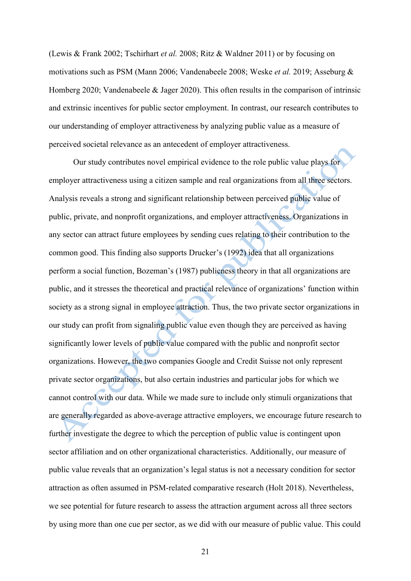(Lewis & Frank 2002; Tschirhart *et al.* 2008; Ritz & Waldner 2011) or by focusing on motivations such as PSM (Mann 2006; Vandenabeele 2008; Weske *et al.* 2019; Asseburg & Homberg 2020; Vandenabeele & Jager 2020). This often results in the comparison of intrinsic and extrinsic incentives for public sector employment. In contrast, our research contributes to our understanding of employer attractiveness by analyzing public value as a measure of perceived societal relevance as an antecedent of employer attractiveness.

Our study contributes novel empirical evidence to the role public value plays for employer attractiveness using a citizen sample and real organizations from all three sectors. Analysis reveals a strong and significant relationship between perceived public value of public, private, and nonprofit organizations, and employer attractiveness. Organizations in any sector can attract future employees by sending cues relating to their contribution to the common good. This finding also supports Drucker's (1992) idea that all organizations perform a social function, Bozeman's (1987) publicness theory in that all organizations are public, and it stresses the theoretical and practical relevance of organizations' function within society as a strong signal in employee attraction. Thus, the two private sector organizations in our study can profit from signaling public value even though they are perceived as having significantly lower levels of public value compared with the public and nonprofit sector organizations. However, the two companies Google and Credit Suisse not only represent private sector organizations, but also certain industries and particular jobs for which we cannot control with our data. While we made sure to include only stimuli organizations that are generally regarded as above-average attractive employers, we encourage future research to further investigate the degree to which the perception of public value is contingent upon sector affiliation and on other organizational characteristics. Additionally, our measure of public value reveals that an organization's legal status is not a necessary condition for sector attraction as often assumed in PSM-related comparative research (Holt 2018). Nevertheless, we see potential for future research to assess the attraction argument across all three sectors by using more than one cue per sector, as we did with our measure of public value. This could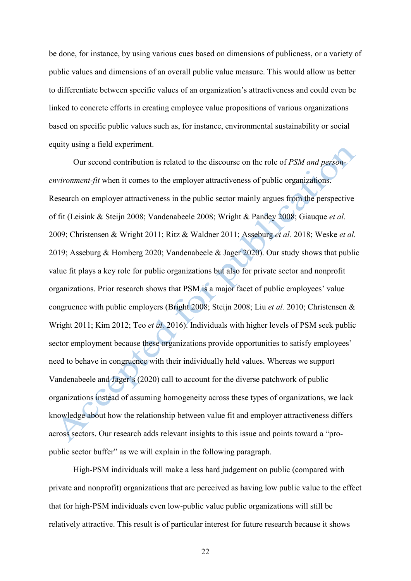be done, for instance, by using various cues based on dimensions of publicness, or a variety of public values and dimensions of an overall public value measure. This would allow us better to differentiate between specific values of an organization's attractiveness and could even be linked to concrete efforts in creating employee value propositions of various organizations based on specific public values such as, for instance, environmental sustainability or social equity using a field experiment.

Our second contribution is related to the discourse on the role of *PSM and personenvironment-fit* when it comes to the employer attractiveness of public organizations. Research on employer attractiveness in the public sector mainly argues from the perspective of fit (Leisink & Steijn 2008; Vandenabeele 2008; Wright & Pandey 2008; Giauque *et al.* 2009; Christensen & Wright 2011; Ritz & Waldner 2011; Asseburg *et al.* 2018; Weske *et al.* 2019; Asseburg & Homberg 2020; Vandenabeele & Jager 2020). Our study shows that public value fit plays a key role for public organizations but also for private sector and nonprofit organizations. Prior research shows that PSM is a major facet of public employees' value congruence with public employers (Bright 2008; Steijn 2008; Liu *et al.* 2010; Christensen & Wright 2011; Kim 2012; Teo *et al.* 2016). Individuals with higher levels of PSM seek public sector employment because these organizations provide opportunities to satisfy employees' need to behave in congruence with their individually held values. Whereas we support Vandenabeele and Jager's (2020) call to account for the diverse patchwork of public organizations instead of assuming homogeneity across these types of organizations, we lack knowledge about how the relationship between value fit and employer attractiveness differs across sectors. Our research adds relevant insights to this issue and points toward a "propublic sector buffer" as we will explain in the following paragraph.

High-PSM individuals will make a less hard judgement on public (compared with private and nonprofit) organizations that are perceived as having low public value to the effect that for high-PSM individuals even low-public value public organizations will still be relatively attractive. This result is of particular interest for future research because it shows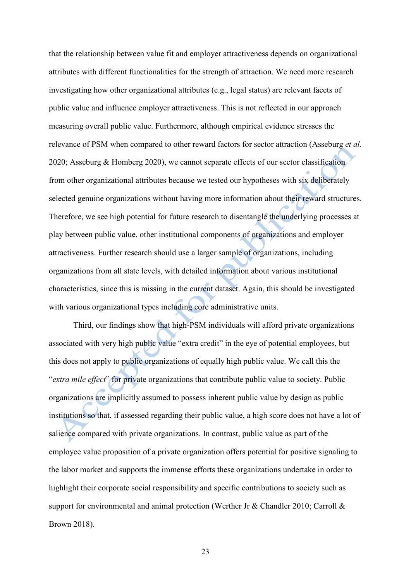that the relationship between value fit and employer attractiveness depends on organizational attributes with different functionalities for the strength of attraction. We need more research investigating how other organizational attributes (e.g., legal status) are relevant facets of public value and influence employer attractiveness. This is not reflected in our approach measuring overall public value. Furthermore, although empirical evidence stresses the relevance of PSM when compared to other reward factors for sector attraction (Asseburg *et al.* 2020; Asseburg & Homberg 2020), we cannot separate effects of our sector classification from other organizational attributes because we tested our hypotheses with six deliberately selected genuine organizations without having more information about their reward structures. Therefore, we see high potential for future research to disentangle the underlying processes at play between public value, other institutional components of organizations and employer attractiveness. Further research should use a larger sample of organizations, including organizations from all state levels, with detailed information about various institutional characteristics, since this is missing in the current dataset. Again, this should be investigated with various organizational types including core administrative units.

Third, our findings show that high-PSM individuals will afford private organizations associated with very high public value "extra credit" in the eye of potential employees, but this does not apply to public organizations of equally high public value. We call this the "*extra mile effect*" for private organizations that contribute public value to society. Public organizations are implicitly assumed to possess inherent public value by design as public institutions so that, if assessed regarding their public value, a high score does not have a lot of salience compared with private organizations. In contrast, public value as part of the employee value proposition of a private organization offers potential for positive signaling to the labor market and supports the immense efforts these organizations undertake in order to highlight their corporate social responsibility and specific contributions to society such as support for environmental and animal protection (Werther Jr & Chandler 2010; Carroll & Brown 2018).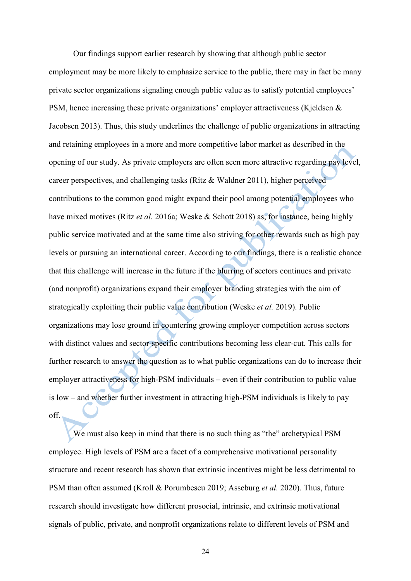Our findings support earlier research by showing that although public sector employment may be more likely to emphasize service to the public, there may in fact be many private sector organizations signaling enough public value as to satisfy potential employees' PSM, hence increasing these private organizations' employer attractiveness (Kjeldsen & Jacobsen 2013). Thus, this study underlines the challenge of public organizations in attracting and retaining employees in a more and more competitive labor market as described in the opening of our study. As private employers are often seen more attractive regarding pay level, career perspectives, and challenging tasks (Ritz & Waldner 2011), higher perceived contributions to the common good might expand their pool among potential employees who have mixed motives (Ritz *et al.* 2016a; Weske & Schott 2018) as, for instance, being highly public service motivated and at the same time also striving for other rewards such as high pay levels or pursuing an international career. According to our findings, there is a realistic chance that this challenge will increase in the future if the blurring of sectors continues and private (and nonprofit) organizations expand their employer branding strategies with the aim of strategically exploiting their public value contribution (Weske *et al.* 2019). Public organizations may lose ground in countering growing employer competition across sectors with distinct values and sector-specific contributions becoming less clear-cut. This calls for further research to answer the question as to what public organizations can do to increase their employer attractiveness for high-PSM individuals – even if their contribution to public value is low – and whether further investment in attracting high-PSM individuals is likely to pay off.

We must also keep in mind that there is no such thing as "the" archetypical PSM employee. High levels of PSM are a facet of a comprehensive motivational personality structure and recent research has shown that extrinsic incentives might be less detrimental to PSM than often assumed (Kroll & Porumbescu 2019; Asseburg *et al.* 2020). Thus, future research should investigate how different prosocial, intrinsic, and extrinsic motivational signals of public, private, and nonprofit organizations relate to different levels of PSM and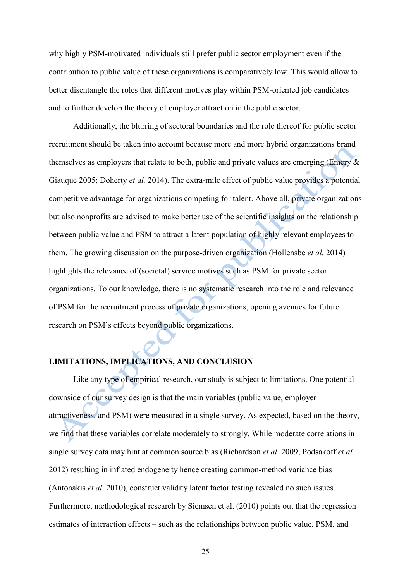why highly PSM-motivated individuals still prefer public sector employment even if the contribution to public value of these organizations is comparatively low. This would allow to better disentangle the roles that different motives play within PSM-oriented job candidates and to further develop the theory of employer attraction in the public sector.

Additionally, the blurring of sectoral boundaries and the role thereof for public sector recruitment should be taken into account because more and more hybrid organizations brand themselves as employers that relate to both, public and private values are emerging (Emery & Giauque 2005; Doherty *et al.* 2014). The extra-mile effect of public value provides a potential competitive advantage for organizations competing for talent. Above all, private organizations but also nonprofits are advised to make better use of the scientific insights on the relationship between public value and PSM to attract a latent population of highly relevant employees to them. The growing discussion on the purpose-driven organization (Hollensbe *et al.* 2014) highlights the relevance of (societal) service motives such as PSM for private sector organizations. To our knowledge, there is no systematic research into the role and relevance of PSM for the recruitment process of private organizations, opening avenues for future research on PSM's effects beyond public organizations.

## **LIMITATIONS, IMPLICATIONS, AND CONCLUSION**

Like any type of empirical research, our study is subject to limitations. One potential downside of our survey design is that the main variables (public value, employer attractiveness, and PSM) were measured in a single survey. As expected, based on the theory, we find that these variables correlate moderately to strongly. While moderate correlations in single survey data may hint at common source bias (Richardson *et al.* 2009; Podsakoff *et al.* 2012) resulting in inflated endogeneity hence creating common-method variance bias (Antonakis *et al.* 2010), construct validity latent factor testing revealed no such issues. Furthermore, methodological research by Siemsen et al. (2010) points out that the regression estimates of interaction effects – such as the relationships between public value, PSM, and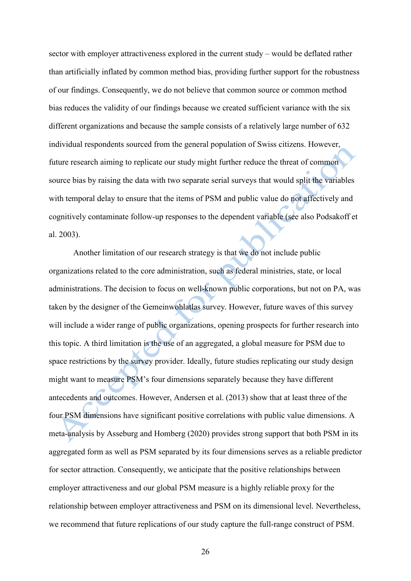sector with employer attractiveness explored in the current study – would be deflated rather than artificially inflated by common method bias, providing further support for the robustness of our findings. Consequently, we do not believe that common source or common method bias reduces the validity of our findings because we created sufficient variance with the six different organizations and because the sample consists of a relatively large number of 632 individual respondents sourced from the general population of Swiss citizens. However, future research aiming to replicate our study might further reduce the threat of common source bias by raising the data with two separate serial surveys that would split the variables with temporal delay to ensure that the items of PSM and public value do not affectively and cognitively contaminate follow-up responses to the dependent variable (see also Podsakoff et al. 2003).

Another limitation of our research strategy is that we do not include public organizations related to the core administration, such as federal ministries, state, or local administrations. The decision to focus on well-known public corporations, but not on PA, was taken by the designer of the Gemeinwohlatlas survey. However, future waves of this survey will include a wider range of public organizations, opening prospects for further research into this topic. A third limitation is the use of an aggregated, a global measure for PSM due to space restrictions by the survey provider. Ideally, future studies replicating our study design might want to measure PSM's four dimensions separately because they have different antecedents and outcomes. However, Andersen et al. (2013) show that at least three of the four PSM dimensions have significant positive correlations with public value dimensions. A meta-analysis by Asseburg and Homberg (2020) provides strong support that both PSM in its aggregated form as well as PSM separated by its four dimensions serves as a reliable predictor for sector attraction. Consequently, we anticipate that the positive relationships between employer attractiveness and our global PSM measure is a highly reliable proxy for the relationship between employer attractiveness and PSM on its dimensional level. Nevertheless, we recommend that future replications of our study capture the full-range construct of PSM.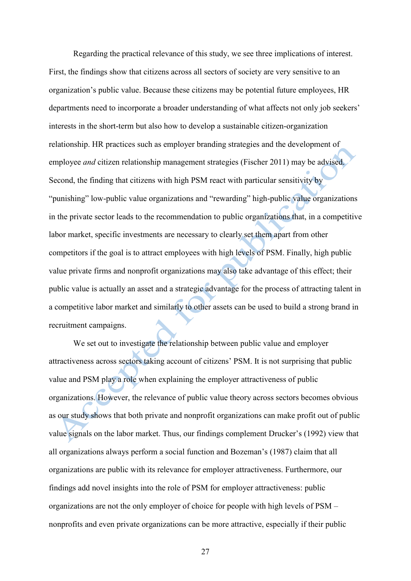Regarding the practical relevance of this study, we see three implications of interest. First, the findings show that citizens across all sectors of society are very sensitive to an organization's public value. Because these citizens may be potential future employees, HR departments need to incorporate a broader understanding of what affects not only job seekers' interests in the short-term but also how to develop a sustainable citizen-organization relationship. HR practices such as employer branding strategies and the development of employee *and* citizen relationship management strategies (Fischer 2011) may be advised. Second, the finding that citizens with high PSM react with particular sensitivity by "punishing" low-public value organizations and "rewarding" high-public value organizations in the private sector leads to the recommendation to public organizations that, in a competitive labor market, specific investments are necessary to clearly set them apart from other competitors if the goal is to attract employees with high levels of PSM. Finally, high public value private firms and nonprofit organizations may also take advantage of this effect; their public value is actually an asset and a strategic advantage for the process of attracting talent in a competitive labor market and similarly to other assets can be used to build a strong brand in recruitment campaigns.

We set out to investigate the relationship between public value and employer attractiveness across sectors taking account of citizens' PSM. It is not surprising that public value and PSM play a role when explaining the employer attractiveness of public organizations. However, the relevance of public value theory across sectors becomes obvious as our study shows that both private and nonprofit organizations can make profit out of public value signals on the labor market. Thus, our findings complement Drucker's (1992) view that all organizations always perform a social function and Bozeman's (1987) claim that all organizations are public with its relevance for employer attractiveness. Furthermore, our findings add novel insights into the role of PSM for employer attractiveness: public organizations are not the only employer of choice for people with high levels of PSM – nonprofits and even private organizations can be more attractive, especially if their public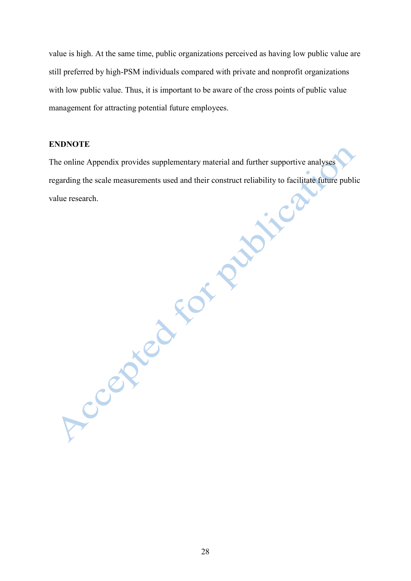value is high. At the same time, public organizations perceived as having low public value are still preferred by high-PSM individuals compared with private and nonprofit organizations with low public value. Thus, it is important to be aware of the cross points of public value management for attracting potential future employees.

#### **ENDNOTE**

The online Appendix provides supplementary material and further supportive analyses regarding the scale measurements used and their construct reliability to facilitate future public value research.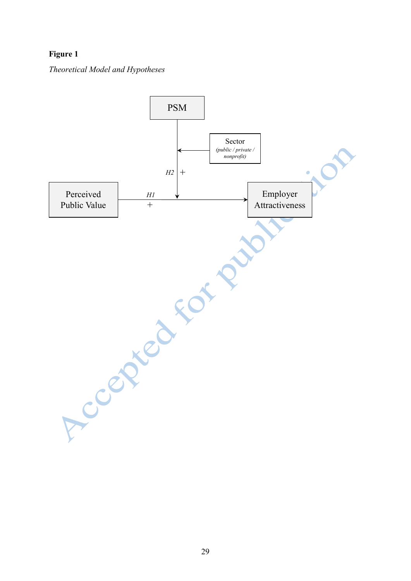# **Figure 1**

*Theoretical Model and Hypotheses*

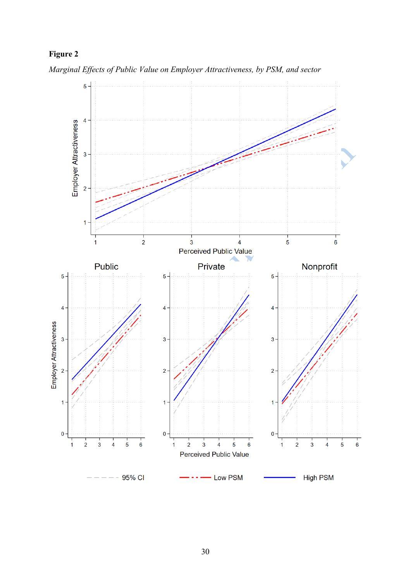# **Figure 2**



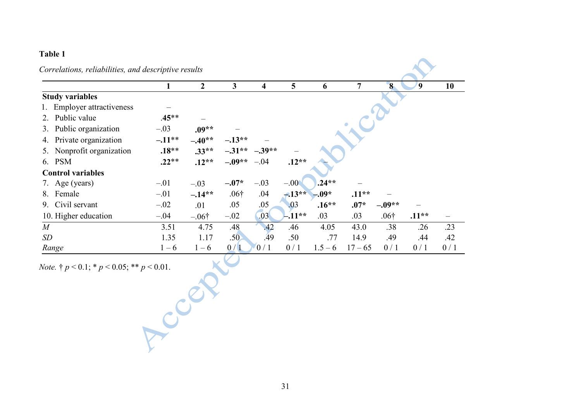# **Table 1**

| Correlations, reliabilities, and descriptive results |          |                |                  |                  |         |           |           |                |                  |     |  |
|------------------------------------------------------|----------|----------------|------------------|------------------|---------|-----------|-----------|----------------|------------------|-----|--|
|                                                      |          | $\overline{2}$ | 3                | 4                | 5       | 6         | 7         | 8 <sup>°</sup> | $\boldsymbol{9}$ | 10  |  |
| <b>Study variables</b>                               |          |                |                  |                  |         |           |           |                |                  |     |  |
| 1. Employer attractiveness                           |          |                |                  |                  |         |           |           |                |                  |     |  |
| 2. Public value                                      | $.45**$  |                |                  |                  |         |           |           |                |                  |     |  |
| 3. Public organization                               | $-.03$   | $.09**$        |                  |                  |         |           |           |                |                  |     |  |
| Private organization<br>4.                           | $-.11**$ | $-.40**$       | $-.13**$         |                  |         |           |           |                |                  |     |  |
| 5. Nonprofit organization                            | $.18**$  | $.33**$        | $-.31**$         | $-.39**$         |         |           |           |                |                  |     |  |
| 6. PSM                                               | $.22**$  | $.12**$        | $-.09**$         | $-.04$           | $.12**$ |           |           |                |                  |     |  |
| <b>Control variables</b>                             |          |                |                  |                  |         |           |           |                |                  |     |  |
| 7. Age (years)                                       | $-.01$   | $-.03$         | $-.07*$          | $-.03$           | $-.00$  | $.24**$   |           |                |                  |     |  |
| 8. Female                                            | $-.01$   | $-.14**$       | .06 <sup>†</sup> | .04              | $-13**$ | $-.09*$   | $.11**$   |                |                  |     |  |
| Civil servant<br>9.                                  | $-.02$   | .01            | .05              | .05              | .03     | $.16**$   | $.07*$    | $-.09**$       |                  |     |  |
| 10. Higher education                                 | $-.04$   | $-.06†$        | $-.02$           | .03 <sub>1</sub> | $-11**$ | .03       | .03       | $.06\dagger$   | $.11**$          |     |  |
| $\boldsymbol{M}$                                     | 3.51     | 4.75           | .48              | .42              | .46     | 4.05      | 43.0      | .38            | .26              | .23 |  |
| SD                                                   | 1.35     | 1.17           | .50 <sub>2</sub> | .49              | .50     | .77       | 14.9      | .49            | .44              | .42 |  |
| Range                                                | $1 - 6$  | $1 - 6$        | 0/1              | 0/1              | 0/1     | $1.5 - 6$ | $17 - 65$ | 0/1            | 0/1              | 0/1 |  |

*Note.* † *p* < 0.1; \* *p* < 0.05; \*\* *p* < 0.01.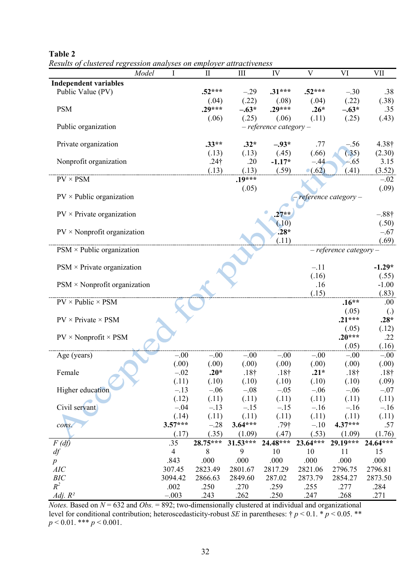| Model                                    |                            | $\mathbf{I}$    | III                  | IV               | $\overline{\mathbf{V}}$ | VI                         | <b>VII</b>        |  |
|------------------------------------------|----------------------------|-----------------|----------------------|------------------|-------------------------|----------------------------|-------------------|--|
| <b>Independent variables</b>             |                            |                 |                      |                  |                         |                            |                   |  |
| Public Value (PV)                        |                            | $.52***$        | $-.29$               | $.31***$         | $.52***$                | $-.30$                     | .38               |  |
|                                          |                            | (.04)           | (.22)                | (.08)            | (.04)                   | (.22)                      | (.38)             |  |
| <b>PSM</b>                               |                            | $.29***$        | $-.63*$              | $.29***$         | $.26*$                  | $-.63*$                    | .35               |  |
|                                          |                            | (.06)           | (.25)                | (.06)            | (.11)                   | (.25)                      | (.43)             |  |
| Public organization                      | $-$ reference category $-$ |                 |                      |                  |                         |                            |                   |  |
| Private organization                     |                            | $.33**$         | $.32*$               | $-.93*$          | .77                     | $-.56$                     | 4.38†             |  |
|                                          |                            | (.13)           | (.13)                | (.45)            | (.66)                   | (.35)                      | (2.30)            |  |
| Nonprofit organization                   |                            | $.24\dagger$    | .20                  | $-1.17*$         | $-.44$                  | $-65$                      | 3.15              |  |
|                                          |                            | (.13)           | (.13)                | (.59)            | $\bullet$ (.62)         | (.41)                      | (3.52)            |  |
| $PV \times PSM$                          |                            |                 | $.19***$             |                  |                         |                            | $-.02$            |  |
|                                          |                            |                 | (.05)                |                  |                         |                            | (.09)             |  |
| $PV \times$ Public organization          |                            |                 | reference category - |                  |                         |                            |                   |  |
|                                          |                            |                 |                      |                  |                         |                            |                   |  |
| $PV \times P$ rivate organization        |                            |                 |                      | $27**$           |                         |                            | $-.88\dagger$     |  |
|                                          |                            |                 |                      | (.10)            |                         |                            | (.50)             |  |
| $PV \times Nonprofit organization$       |                            |                 |                      | $.28*$           |                         |                            | $-.67$            |  |
|                                          |                            |                 |                      | (.11)            |                         |                            | (.69)             |  |
| $PSM \times$ Public organization         |                            |                 |                      |                  |                         | $-$ reference category $-$ |                   |  |
| $PSM \times \text{Private organization}$ |                            |                 |                      |                  | $-.11$                  |                            | $-1.29*$          |  |
|                                          |                            |                 |                      |                  | (.16)                   |                            | (.55)             |  |
| $PSM \times Nonprofit organization$      |                            |                 |                      |                  | .16                     |                            | $-1.00$           |  |
|                                          |                            |                 |                      |                  | (.15)                   |                            | (.83)             |  |
| $PV \times Public \times PSM$            |                            |                 |                      |                  |                         | $.16**$                    | .00.              |  |
|                                          |                            |                 |                      |                  |                         | (.05)                      | $\left( .\right)$ |  |
| $PV \times Private \times PSM$           |                            |                 |                      |                  |                         | $.21***$                   | $.28*$            |  |
|                                          |                            |                 |                      |                  |                         | (.05)                      | (.12)             |  |
| $PV \times Nonprofit \times PSM$         |                            |                 |                      |                  |                         | $.20***$                   | .22               |  |
|                                          |                            |                 |                      |                  |                         | (.05)                      | (.16)             |  |
| Age (years)                              | $-.00$                     | $-.00$          | $-.00$               | $-.00$           | $-.00$                  | $-.00$                     | $-.00$            |  |
|                                          | (.00)                      | (.00)           | (.00)                | (.00)            | (.00)                   | (.00)                      | (.00)             |  |
| Female                                   | $-.02$                     | $.20*$          | $.18\dagger$         | $.18\dagger$     | $.21*$                  | .18 <sub>†</sub>           | $.18\dagger$      |  |
|                                          | (.11)                      | (.10)           | (.10)                | (.10)            | (.10)                   | (.10)                      | (.09)             |  |
| Higher education                         | $-.13$                     | $-.06$          | $-.08$               | $-.05$           | $-.06$                  | $-.06$                     | $-.07$            |  |
|                                          | (.12)<br>$-.04$            | (.11)<br>$-.13$ | (.11)<br>$-.15$      | (.11)<br>$-.15$  | (.11)<br>$-.16$         | (.11)<br>$-.16$            | (.11)             |  |
| Civil servant                            | (.14)                      | (.11)           | (.11)                | (.11)            | (.11)                   | (.11)                      | $-.16$<br>(.11)   |  |
| cons.                                    | $3.57***$                  | $-.28$          | $3.64***$            | .79 <sup>†</sup> | $-.10$                  | $4.37***$                  | .57               |  |
|                                          | (.17)                      | (.35)           | (1.09)               | (.47)            | (.53)                   | (1.09)                     | (1.76)            |  |
| $F(d\hat{f})$                            | .35                        | $28.75***$      | $31.53***$           | 24.48***         | 23.64***                | $29.19***$                 | 24.64***          |  |
| df                                       | $\overline{4}$             | $\,8\,$         | 9                    | 10               | 10                      | 11                         | 15                |  |
| $\boldsymbol{p}$                         | .843                       | .000            | .000                 | .000             | .000                    | .000                       | .000              |  |
| AIC                                      | 307.45                     | 2823.49         | 2801.67              | 2817.29          | 2821.06                 | 2796.75                    | 2796.81           |  |
| <b>BIC</b>                               | 3094.42                    | 2866.63         | 2849.60              | 287.02           | 2873.79                 | 2854.27                    | 2873.50           |  |
| $R^2$                                    | .002                       | .250            | .270                 | .259             | .255                    | .277                       | .284              |  |
| Adj. $R^2$                               | $-.003$                    | .243            | .262                 | .250             | .247                    | .268                       | .271              |  |

**Table 2**

*Results of clustered regression analyses on employer attractiveness*

*Notes.* Based on *N* = 632 and *Obs.* = 892; two-dimensionally clustered at individual and organizational level for conditional contribution; heteroscedasticity-robust *SE* in parentheses: † *p* < 0.1. \* *p* < 0.05. \*\* *p* < 0.01. \*\*\* *p* < 0.001.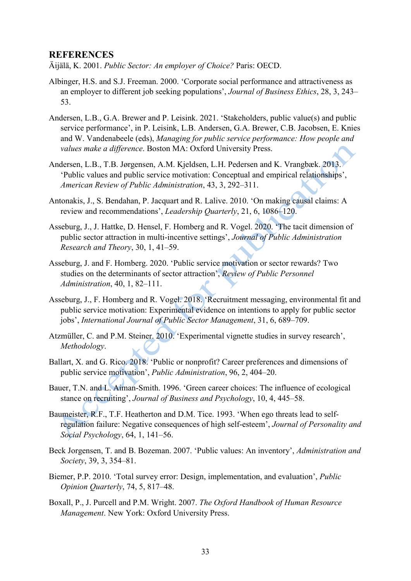## **REFERENCES**

Äijälä, K. 2001. *Public Sector: An employer of Choice?* Paris: OECD.

- Albinger, H.S. and S.J. Freeman. 2000. 'Corporate social performance and attractiveness as an employer to different job seeking populations', *Journal of Business Ethics*, 28, 3, 243– 53.
- Andersen, L.B., G.A. Brewer and P. Leisink. 2021. 'Stakeholders, public value(s) and public service performance', in P. Leisink, L.B. Andersen, G.A. Brewer, C.B. Jacobsen, E. Knies and W. Vandenabeele (eds), *Managing for public service performance: How people and values make a difference*. Boston MA: Oxford University Press.
- Andersen, L.B., T.B. Jørgensen, A.M. Kjeldsen, L.H. Pedersen and K. Vrangbæk. 2013. 'Public values and public service motivation: Conceptual and empirical relationships', *American Review of Public Administration*, 43, 3, 292–311.
- Antonakis, J., S. Bendahan, P. Jacquart and R. Lalive. 2010. 'On making causal claims: A review and recommendations', *Leadership Quarterly*, 21, 6, 1086–120.
- Asseburg, J., J. Hattke, D. Hensel, F. Homberg and R. Vogel. 2020. 'The tacit dimension of public sector attraction in multi-incentive settings', *Journal of Public Administration Research and Theory*, 30, 1, 41–59.
- Asseburg, J. and F. Homberg. 2020. 'Public service motivation or sector rewards? Two studies on the determinants of sector attraction', *Review of Public Personnel Administration*, 40, 1, 82–111.
- Asseburg, J., F. Homberg and R. Vogel. 2018. 'Recruitment messaging, environmental fit and public service motivation: Experimental evidence on intentions to apply for public sector jobs', *International Journal of Public Sector Management*, 31, 6, 689–709.
- Atzmüller, C. and P.M. Steiner. 2010. 'Experimental vignette studies in survey research', *Methodology*.
- Ballart, X. and G. Rico. 2018. 'Public or nonprofit? Career preferences and dimensions of public service motivation', *Public Administration*, 96, 2, 404–20.
- Bauer, T.N. and L. Aiman-Smith. 1996. 'Green career choices: The influence of ecological stance on recruiting', *Journal of Business and Psychology*, 10, 4, 445–58.
- Baumeister, R.F., T.F. Heatherton and D.M. Tice. 1993. 'When ego threats lead to selfregulation failure: Negative consequences of high self-esteem', *Journal of Personality and Social Psychology*, 64, 1, 141–56.
- Beck Jorgensen, T. and B. Bozeman. 2007. 'Public values: An inventory', *Administration and Society*, 39, 3, 354–81.
- Biemer, P.P. 2010. 'Total survey error: Design, implementation, and evaluation', *Public Opinion Quarterly*, 74, 5, 817–48.
- Boxall, P., J. Purcell and P.M. Wright. 2007. *The Oxford Handbook of Human Resource Management*. New York: Oxford University Press.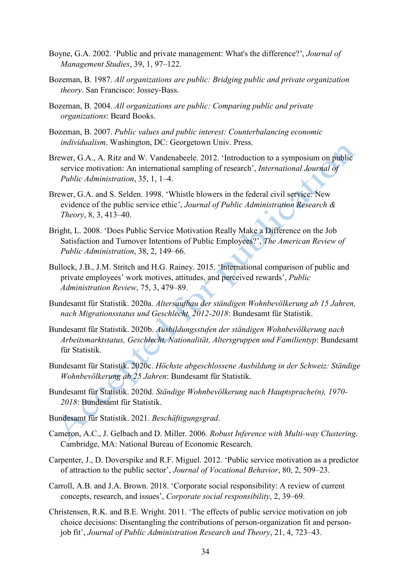- Boyne, G.A. 2002. 'Public and private management: What's the difference?', *Journal of Management Studies*, 39, 1, 97–122.
- Bozeman, B. 1987. *All organizations are public: Bridging public and private organization theory*. San Francisco: Jossey-Bass.
- Bozeman, B. 2004. *All organizations are public: Comparing public and private organizations*: Beard Books.
- Bozeman, B. 2007. *Public values and public interest: Counterbalancing economic individualism*. Washington, DC: Georgetown Univ. Press.
- Brewer, G.A., A. Ritz and W. Vandenabeele. 2012. 'Introduction to a symposium on public service motivation: An international sampling of research', *International Journal of Public Administration*, 35, 1, 1–4.
- Brewer, G.A. and S. Selden. 1998. 'Whistle blowers in the federal civil service: New evidence of the public service ethic', *Journal of Public Administration Research & Theory*, 8, 3, 413–40.
- Bright, L. 2008. 'Does Public Service Motivation Really Make a Difference on the Job Satisfaction and Turnover Intentions of Public Employees?', *The American Review of Public Administration*, 38, 2, 149–66.
- Bullock, J.B., J.M. Stritch and H.G. Rainey. 2015. 'International comparison of public and private employees' work motives, attitudes, and perceived rewards', *Public Administration Review*, 75, 3, 479–89.
- Bundesamt für Statistik. 2020a. *Altersaufbau der ständigen Wohnbevölkerung ab 15 Jahren, nach Migrationsstatus und Geschlecht, 2012-2018*: Bundesamt für Statistik.
- Bundesamt für Statistik. 2020b. *Ausbildungsstufen der ständigen Wohnbevölkerung nach Arbeitsmarktstatus, Geschlecht, Nationalität, Altersgruppen und Familientyp*: Bundesamt für Statistik.
- Bundesamt für Statistik. 2020c. *Höchste abgeschlossene Ausbildung in der Schweiz: Ständige Wohnbevölkerung ab 25 Jahren*: Bundesamt für Statistik.
- Bundesamt für Statistik. 2020d. *Ständige Wohnbevölkerung nach Hauptsprache(n), 1970- 2018*: Bundesamt für Statistik.
- Bundesamt für Statistik. 2021. *Beschäftigungsgrad*.
- Cameron, A.C., J. Gelbach and D. Miller. 2006. *Robust Inference with Multi-way Clustering*. Cambridge, MA: National Bureau of Economic Research.
- Carpenter, J., D. Doverspike and R.F. Miguel. 2012. 'Public service motivation as a predictor of attraction to the public sector', *Journal of Vocational Behavior*, 80, 2, 509–23.
- Carroll, A.B. and J.A. Brown. 2018. 'Corporate social responsibility: A review of current concepts, research, and issues', *Corporate social responsibility*, 2, 39–69.
- Christensen, R.K. and B.E. Wright. 2011. 'The effects of public service motivation on job choice decisions: Disentangling the contributions of person-organization fit and personjob fit', *Journal of Public Administration Research and Theory*, 21, 4, 723–43.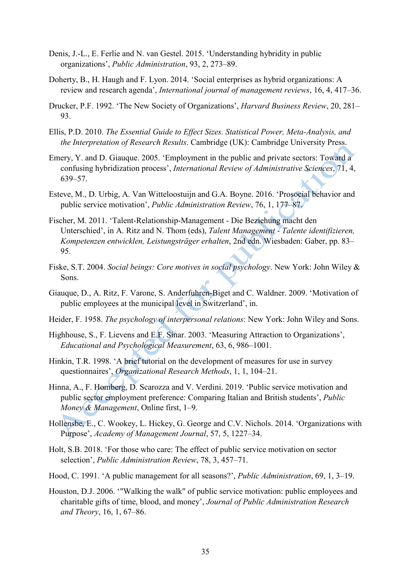- Denis, J.-L., E. Ferlie and N. van Gestel. 2015. 'Understanding hybridity in public organizations', *Public Administration*, 93, 2, 273–89.
- Doherty, B., H. Haugh and F. Lyon. 2014. 'Social enterprises as hybrid organizations: A review and research agenda', *International journal of management reviews*, 16, 4, 417–36.
- Drucker, P.F. 1992. 'The New Society of Organizations', *Harvard Business Review*, 20, 281– 93.
- Ellis, P.D. 2010. *The Essential Guide to Effect Sizes. Statistical Power, Meta-Analysis, and the Interpretation of Research Results*. Cambridge (UK): Cambridge University Press.
- Emery, Y. and D. Giauque. 2005. 'Employment in the public and private sectors: Toward a confusing hybridization process', *International Review of Administrative Sciences*, 71, 4, 639–57.
- Esteve, M., D. Urbig, A. Van Witteloostuijn and G.A. Boyne. 2016. 'Prosocial behavior and public service motivation', *Public Administration Review*, 76, 1, 177–87.
- Fischer, M. 2011. 'Talent-Relationship-Management Die Beziehung macht den Unterschied', in A. Ritz and N. Thom (eds), *Talent Management - Talente identifizieren, Kompetenzen entwicklen, Leistungsträger erhalten*, 2nd edn. Wiesbaden: Gaber, pp. 83– 95.
- Fiske, S.T. 2004. *Social beings: Core motives in social psychology*. New York: John Wiley & Sons.
- Giauque, D., A. Ritz, F. Varone, S. Anderfuhren-Biget and C. Waldner. 2009. 'Motivation of public employees at the municipal level in Switzerland', in.
- Heider, F. 1958. *The psychology of interpersonal relations*: New York: John Wiley and Sons.
- Highhouse, S., F. Lievens and E.F. Sinar. 2003. 'Measuring Attraction to Organizations', *Educational and Psychological Measurement*, 63, 6, 986–1001.
- Hinkin, T.R. 1998. 'A brief tutorial on the development of measures for use in survey questionnaires', *Organizational Research Methods*, 1, 1, 104–21.
- Hinna, A., F. Homberg, D. Scarozza and V. Verdini. 2019. 'Public service motivation and public sector employment preference: Comparing Italian and British students', *Public Money & Management*, Online first, 1–9.
- Hollensbe, E., C. Wookey, L. Hickey, G. George and C.V. Nichols. 2014. 'Organizations with Purpose', *Academy of Management Journal*, 57, 5, 1227–34.
- Holt, S.B. 2018. 'For those who care: The effect of public service motivation on sector selection', *Public Administration Review*, 78, 3, 457–71.
- Hood, C. 1991. 'A public management for all seasons?', *Public Administration*, 69, 1, 3–19.
- Houston, D.J. 2006. '"Walking the walk" of public service motivation: public employees and charitable gifts of time, blood, and money', *Journal of Public Administration Research and Theory*, 16, 1, 67–86.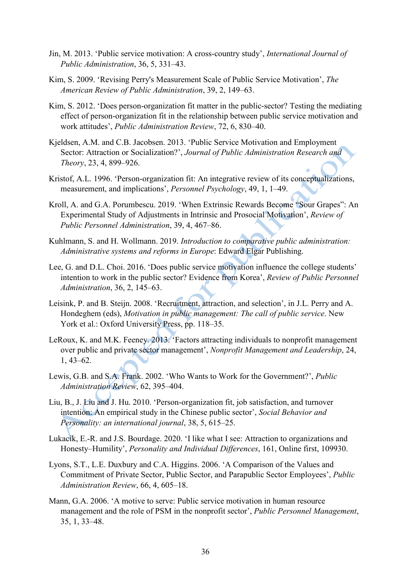- Jin, M. 2013. 'Public service motivation: A cross-country study', *International Journal of Public Administration*, 36, 5, 331–43.
- Kim, S. 2009. 'Revising Perry's Measurement Scale of Public Service Motivation', *The American Review of Public Administration*, 39, 2, 149–63.
- Kim, S. 2012. 'Does person-organization fit matter in the public-sector? Testing the mediating effect of person‐organization fit in the relationship between public service motivation and work attitudes', *Public Administration Review*, 72, 6, 830–40.
- Kjeldsen, A.M. and C.B. Jacobsen. 2013. 'Public Service Motivation and Employment Sector: Attraction or Socialization?', *Journal of Public Administration Research and Theory*, 23, 4, 899–926.
- Kristof, A.L. 1996. 'Person-organization fit: An integrative review of its conceptualizations, measurement, and implications', *Personnel Psychology*, 49, 1, 1–49.
- Kroll, A. and G.A. Porumbescu. 2019. 'When Extrinsic Rewards Become "Sour Grapes": An Experimental Study of Adjustments in Intrinsic and Prosocial Motivation', *Review of Public Personnel Administration*, 39, 4, 467–86.
- Kuhlmann, S. and H. Wollmann. 2019. *Introduction to comparative public administration: Administrative systems and reforms in Europe*: Edward Elgar Publishing.
- Lee, G. and D.L. Choi. 2016. 'Does public service motivation influence the college students' intention to work in the public sector? Evidence from Korea', *Review of Public Personnel Administration*, 36, 2, 145–63.
- Leisink, P. and B. Steijn. 2008. 'Recruitment, attraction, and selection', in J.L. Perry and A. Hondeghem (eds), *Motivation in public management: The call of public service*. New York et al.: Oxford University Press, pp. 118–35.
- LeRoux, K. and M.K. Feeney. 2013. 'Factors attracting individuals to nonprofit management over public and private sector management', *Nonprofit Management and Leadership*, 24, 1, 43–62.
- Lewis, G.B. and S.A. Frank. 2002. 'Who Wants to Work for the Government?', *Public Administration Review*, 62, 395–404.
- Liu, B., J. Liu and J. Hu. 2010. 'Person-organization fit, job satisfaction, and turnover intention: An empirical study in the Chinese public sector', *Social Behavior and Personality: an international journal*, 38, 5, 615–25.
- Lukacik, E.-R. and J.S. Bourdage. 2020. 'I like what I see: Attraction to organizations and Honesty–Humility', *Personality and Individual Differences*, 161, Online first, 109930.
- Lyons, S.T., L.E. Duxbury and C.A. Higgins. 2006. 'A Comparison of the Values and Commitment of Private Sector, Public Sector, and Parapublic Sector Employees', *Public Administration Review*, 66, 4, 605–18.
- Mann, G.A. 2006. 'A motive to serve: Public service motivation in human resource management and the role of PSM in the nonprofit sector', *Public Personnel Management*, 35, 1, 33–48.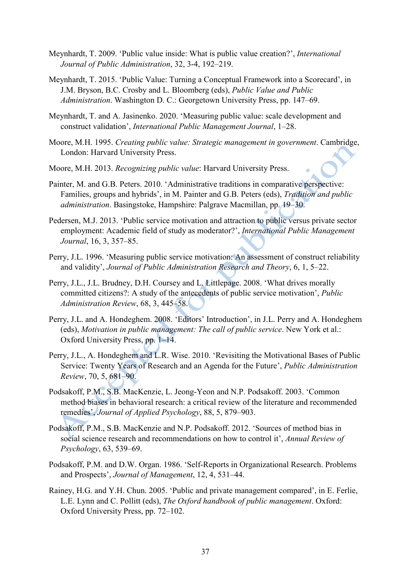- Meynhardt, T. 2009. 'Public value inside: What is public value creation?', *International Journal of Public Administration*, 32, 3-4, 192–219.
- Meynhardt, T. 2015. 'Public Value: Turning a Conceptual Framework into a Scorecard', in J.M. Bryson, B.C. Crosby and L. Bloomberg (eds), *Public Value and Public Administration*. Washington D. C.: Georgetown University Press, pp. 147–69.
- Meynhardt, T. and A. Jasinenko. 2020. 'Measuring public value: scale development and construct validation', *International Public Management Journal*, 1–28.
- Moore, M.H. 1995. *Creating public value: Strategic management in government*. Cambridge, London: Harvard University Press.
- Moore, M.H. 2013. *Recognizing public value*: Harvard University Press.
- Painter, M. and G.B. Peters. 2010. 'Administrative traditions in comparative perspective: Families, groups and hybrids', in M. Painter and G.B. Peters (eds), *Tradition and public administration*. Basingstoke, Hampshire: Palgrave Macmillan, pp. 19–30.
- Pedersen, M.J. 2013. 'Public service motivation and attraction to public versus private sector employment: Academic field of study as moderator?', *International Public Management Journal*, 16, 3, 357–85.
- Perry, J.L. 1996. 'Measuring public service motivation: An assessment of construct reliability and validity', *Journal of Public Administration Research and Theory*, 6, 1, 5–22.
- Perry, J.L., J.L. Brudney, D.H. Coursey and L. Littlepage. 2008. 'What drives morally committed citizens?: A study of the antecedents of public service motivation', *Public Administration Review*, 68, 3, 445–58.
- Perry, J.L. and A. Hondeghem. 2008. 'Editors' Introduction', in J.L. Perry and A. Hondeghem (eds), *Motivation in public management: The call of public service*. New York et al.: Oxford University Press, pp. 1–14.
- Perry, J.L., A. Hondeghem and L.R. Wise. 2010. 'Revisiting the Motivational Bases of Public Service: Twenty Years of Research and an Agenda for the Future', *Public Administration Review*, 70, 5, 681–90.
- Podsakoff, P.M., S.B. MacKenzie, L. Jeong-Yeon and N.P. Podsakoff. 2003. 'Common method biases in behavioral research: a critical review of the literature and recommended remedies', *Journal of Applied Psychology*, 88, 5, 879–903.
- Podsakoff, P.M., S.B. MacKenzie and N.P. Podsakoff. 2012. 'Sources of method bias in social science research and recommendations on how to control it', *Annual Review of Psychology*, 63, 539–69.
- Podsakoff, P.M. and D.W. Organ. 1986. 'Self-Reports in Organizational Research. Problems and Prospects', *Journal of Management*, 12, 4, 531–44.
- Rainey, H.G. and Y.H. Chun. 2005. 'Public and private management compared', in E. Ferlie, L.E. Lynn and C. Pollitt (eds), *The Oxford handbook of public management*. Oxford: Oxford University Press, pp. 72–102.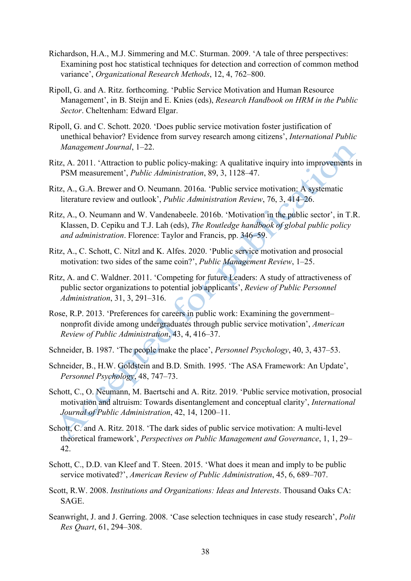- Richardson, H.A., M.J. Simmering and M.C. Sturman. 2009. 'A tale of three perspectives: Examining post hoc statistical techniques for detection and correction of common method variance', *Organizational Research Methods*, 12, 4, 762–800.
- Ripoll, G. and A. Ritz. forthcoming. 'Public Service Motivation and Human Resource Management', in B. Steijn and E. Knies (eds), *Research Handbook on HRM in the Public Sector*. Cheltenham: Edward Elgar.
- Ripoll, G. and C. Schott. 2020. 'Does public service motivation foster justification of unethical behavior? Evidence from survey research among citizens', *International Public Management Journal*, 1–22.
- Ritz, A. 2011. 'Attraction to public policy-making: A qualitative inquiry into improvements in PSM measurement', *Public Administration*, 89, 3, 1128–47.
- Ritz, A., G.A. Brewer and O. Neumann. 2016a. 'Public service motivation: A systematic literature review and outlook', *Public Administration Review*, 76, 3, 414–26.
- Ritz, A., O. Neumann and W. Vandenabeele. 2016b. 'Motivation in the public sector', in T.R. Klassen, D. Cepiku and T.J. Lah (eds), *The Routledge handbook of global public policy and administration*. Florence: Taylor and Francis, pp. 346–59.
- Ritz, A., C. Schott, C. Nitzl and K. Alfes. 2020. 'Public service motivation and prosocial motivation: two sides of the same coin?', *Public Management Review*, 1–25.
- Ritz, A. and C. Waldner. 2011. 'Competing for future Leaders: A study of attractiveness of public sector organizations to potential job applicants', *Review of Public Personnel Administration*, 31, 3, 291–316.
- Rose, R.P. 2013. 'Preferences for careers in public work: Examining the government– nonprofit divide among undergraduates through public service motivation', *American Review of Public Administration*, 43, 4, 416–37.
- Schneider, B. 1987. 'The people make the place', *Personnel Psychology*, 40, 3, 437–53.
- Schneider, B., H.W. Goldstein and B.D. Smith. 1995. 'The ASA Framework: An Update', *Personnel Psychology*, 48, 747–73.
- Schott, C., O. Neumann, M. Baertschi and A. Ritz. 2019. 'Public service motivation, prosocial motivation and altruism: Towards disentanglement and conceptual clarity', *International Journal of Public Administration*, 42, 14, 1200–11.
- Schott, C. and A. Ritz. 2018. 'The dark sides of public service motivation: A multi-level theoretical framework', *Perspectives on Public Management and Governance*, 1, 1, 29– 42.
- Schott, C., D.D. van Kleef and T. Steen. 2015. 'What does it mean and imply to be public service motivated?', *American Review of Public Administration*, 45, 6, 689–707.
- Scott, R.W. 2008. *Institutions and Organizations: Ideas and Interests*. Thousand Oaks CA: SAGE.
- Seanwright, J. and J. Gerring. 2008. 'Case selection techniques in case study research', *Polit Res Quart*, 61, 294–308.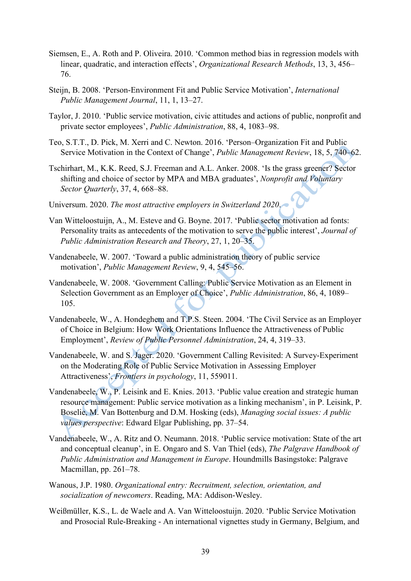- Siemsen, E., A. Roth and P. Oliveira. 2010. 'Common method bias in regression models with linear, quadratic, and interaction effects', *Organizational Research Methods*, 13, 3, 456– 76.
- Steijn, B. 2008. 'Person-Environment Fit and Public Service Motivation', *International Public Management Journal*, 11, 1, 13–27.
- Taylor, J. 2010. 'Public service motivation, civic attitudes and actions of public, nonprofit and private sector employees', *Public Administration*, 88, 4, 1083–98.
- Teo, S.T.T., D. Pick, M. Xerri and C. Newton. 2016. 'Person–Organization Fit and Public Service Motivation in the Context of Change', *Public Management Review*, 18, 5, 740–62.
- Tschirhart, M., K.K. Reed, S.J. Freeman and A.L. Anker. 2008. 'Is the grass greener? Sector shifting and choice of sector by MPA and MBA graduates', *Nonprofit and Voluntary Sector Quarterly*, 37, 4, 668–88.
- Universum. 2020. *The most attractive employers in Switzerland 2020*.
- Van Witteloostuijn, A., M. Esteve and G. Boyne. 2017. 'Public sector motivation ad fonts: Personality traits as antecedents of the motivation to serve the public interest', *Journal of Public Administration Research and Theory*, 27, 1, 20–35.
- Vandenabeele, W. 2007. 'Toward a public administration theory of public service motivation', *Public Management Review*, 9, 4, 545–56.
- Vandenabeele, W. 2008. 'Government Calling: Public Service Motivation as an Element in Selection Government as an Employer of Choice', *Public Administration*, 86, 4, 1089– 105.
- Vandenabeele, W., A. Hondeghem and T.P.S. Steen. 2004. 'The Civil Service as an Employer of Choice in Belgium: How Work Orientations Influence the Attractiveness of Public Employment', *Review of Public Personnel Administration*, 24, 4, 319–33.
- Vandenabeele, W. and S. Jager. 2020. 'Government Calling Revisited: A Survey-Experiment on the Moderating Role of Public Service Motivation in Assessing Employer Attractiveness', *Frontiers in psychology*, 11, 559011.
- Vandenabeele, W., P. Leisink and E. Knies. 2013. 'Public value creation and strategic human resource management: Public service motivation as a linking mechanism', in P. Leisink, P. Boselie, M. Van Bottenburg and D.M. Hosking (eds), *Managing social issues: A public values perspective*: Edward Elgar Publishing, pp. 37–54.
- Vandenabeele, W., A. Ritz and O. Neumann. 2018. 'Public service motivation: State of the art and conceptual cleanup', in E. Ongaro and S. Van Thiel (eds), *The Palgrave Handbook of Public Administration and Management in Europe*. Houndmills Basingstoke: Palgrave Macmillan, pp. 261–78.
- Wanous, J.P. 1980. *Organizational entry: Recruitment, selection, orientation, and socialization of newcomers*. Reading, MA: Addison-Wesley.
- Weißmüller, K.S., L. de Waele and A. Van Witteloostuijn. 2020. 'Public Service Motivation and Prosocial Rule-Breaking - An international vignettes study in Germany, Belgium, and